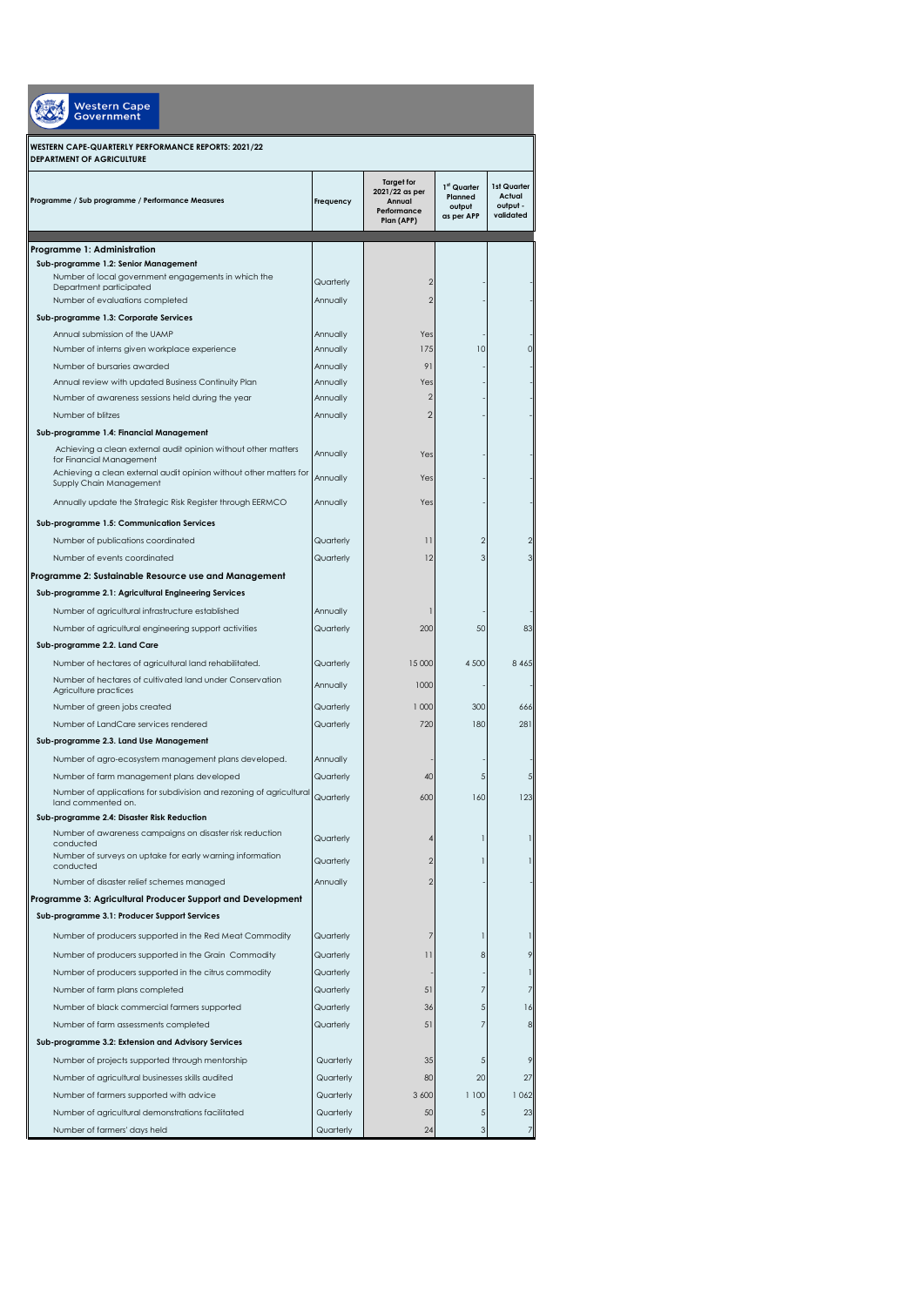| Western Cape<br><b>Government</b>                                                                 |                       |                                                                            |                                                |                                                |
|---------------------------------------------------------------------------------------------------|-----------------------|----------------------------------------------------------------------------|------------------------------------------------|------------------------------------------------|
| WESTERN CAPE-QUARTERLY PERFORMANCE REPORTS: 2021/22<br><b>DEPARTMENT OF AGRICULTURE</b>           |                       |                                                                            |                                                |                                                |
| Programme / Sub programme / Performance Measures                                                  | Frequency             | <b>Taraet for</b><br>2021/22 as per<br>Annual<br>Performance<br>Plan (APP) | 1st Quarter<br>Planned<br>output<br>as per APP | 1st Quarter<br>Actual<br>output -<br>validated |
| Programme 1: Administration                                                                       |                       |                                                                            |                                                |                                                |
| Sub-programme 1.2: Senior Management                                                              |                       |                                                                            |                                                |                                                |
| Number of local government engagements in which the<br>Department participated                    | Quarterly             | 2                                                                          |                                                |                                                |
| Number of evaluations completed                                                                   | Annually              | $\overline{2}$                                                             |                                                |                                                |
| Sub-programme 1.3: Corporate Services                                                             |                       |                                                                            |                                                |                                                |
| Annual submission of the UAMP                                                                     | Annually              | Yes                                                                        |                                                |                                                |
| Number of interns given workplace experience                                                      | Annually              | 175                                                                        | 10                                             | $\circ$                                        |
| Number of bursaries awarded<br>Annual review with updated Business Continuity Plan                | Annually<br>Annually  | 91<br>Yes                                                                  |                                                |                                                |
| Number of awareness sessions held during the year                                                 | Annually              | $\overline{\mathbf{c}}$                                                    |                                                |                                                |
| Number of blitzes                                                                                 | Annually              | $\overline{2}$                                                             |                                                |                                                |
| Sub-programme 1.4: Financial Management                                                           |                       |                                                                            |                                                |                                                |
| Achieving a clean external audit opinion without other matters<br>for Financial Management        | Annually              | Yes                                                                        |                                                |                                                |
| Achieving a clean external audit opinion without other matters for<br>Supply Chain Management     | Annually              | Yes                                                                        |                                                |                                                |
| Annually update the Strategic Risk Register through EERMCO                                        | Annually              | Yes                                                                        |                                                |                                                |
| Sub-programme 1.5: Communication Services                                                         |                       |                                                                            |                                                |                                                |
| Number of publications coordinated                                                                | Quarterly             | $\overline{\phantom{a}}$                                                   | $\overline{2}$                                 | 2                                              |
| Number of events coordinated                                                                      | Quarterly             | 12                                                                         | 3                                              | 3                                              |
| Programme 2: Sustainable Resource use and Management                                              |                       |                                                                            |                                                |                                                |
| Sub-programme 2.1: Agricultural Engineering Services                                              |                       |                                                                            |                                                |                                                |
| Number of agricultural infrastructure established                                                 | Annually              | 1                                                                          |                                                |                                                |
| Number of agricultural engineering support activities                                             | Quarterly             | 200                                                                        | 50                                             | 83                                             |
| Sub-programme 2.2. Land Care                                                                      |                       |                                                                            |                                                |                                                |
| Number of hectares of agricultural land rehabilitated.                                            | Quarterly             | 15 000                                                                     | 4 500                                          | 8 4 6 5                                        |
| Number of hectares of cultivated land under Conservation<br>Agriculture practices                 | Annually              | 1000                                                                       |                                                |                                                |
| Number of green jobs created                                                                      | Quarterly             | 1 000                                                                      | 300                                            | 666                                            |
| Number of LandCare services rendered                                                              | Quarterly             | 720                                                                        | 180                                            | 281                                            |
| Sub-programme 2.3. Land Use Management                                                            |                       |                                                                            |                                                |                                                |
| Number of agro-ecosystem management plans developed.<br>Number of farm management plans developed | Annually<br>Quarterly | 40                                                                         | 5                                              | 5                                              |
| Number of applications for subdivision and rezoning of agricultural<br>land commented on.         | Quarterly             | 600                                                                        | 160                                            | 123                                            |
| Sub-programme 2.4: Disaster Risk Reduction                                                        |                       |                                                                            |                                                |                                                |
| Number of awareness campaigns on disaster risk reduction<br>conducted                             | Quarterly             |                                                                            |                                                | 1                                              |
| Number of surveys on uptake for early warning information<br>conducted                            | Quarterly             | 2                                                                          |                                                | 1                                              |
| Number of disaster relief schemes managed                                                         | Annually              | 2                                                                          |                                                |                                                |
| Programme 3: Agricultural Producer Support and Development                                        |                       |                                                                            |                                                |                                                |
| Sub-programme 3.1: Producer Support Services                                                      |                       |                                                                            |                                                |                                                |
| Number of producers supported in the Red Meat Commodity                                           | Quarterly             | 7                                                                          | 1                                              | 1                                              |
| Number of producers supported in the Grain Commodity                                              | Quarterly             | $\overline{\phantom{a}}$                                                   | 8                                              | 9                                              |
| Number of producers supported in the citrus commodity                                             | Quarterly             |                                                                            |                                                | 1                                              |
| Number of farm plans completed                                                                    | Quarterly             | 51                                                                         | 7                                              | 7                                              |
| Number of black commercial farmers supported                                                      | Quarterly             | 36                                                                         | 5                                              | 16                                             |
| Number of farm assessments completed                                                              | Quarterly             | 51                                                                         | $\overline{7}$                                 | 8                                              |
| Sub-programme 3.2: Extension and Advisory Services                                                |                       |                                                                            |                                                |                                                |
| Number of projects supported through mentorship                                                   | Quarterly             | 35                                                                         | 5                                              | 9                                              |
| Number of agricultural businesses skills audited                                                  | Quarterly             | 80                                                                         | 20                                             | 27                                             |
| Number of farmers supported with advice                                                           | Quarterly             | 3 600                                                                      | 1 100                                          | 1062                                           |
| Number of agricultural demonstrations facilitated                                                 | Quarterly             | 50                                                                         | 5                                              | 23                                             |
| Number of farmers' days held                                                                      | Quarterly             | 24                                                                         | 3                                              | $\overline{7}$                                 |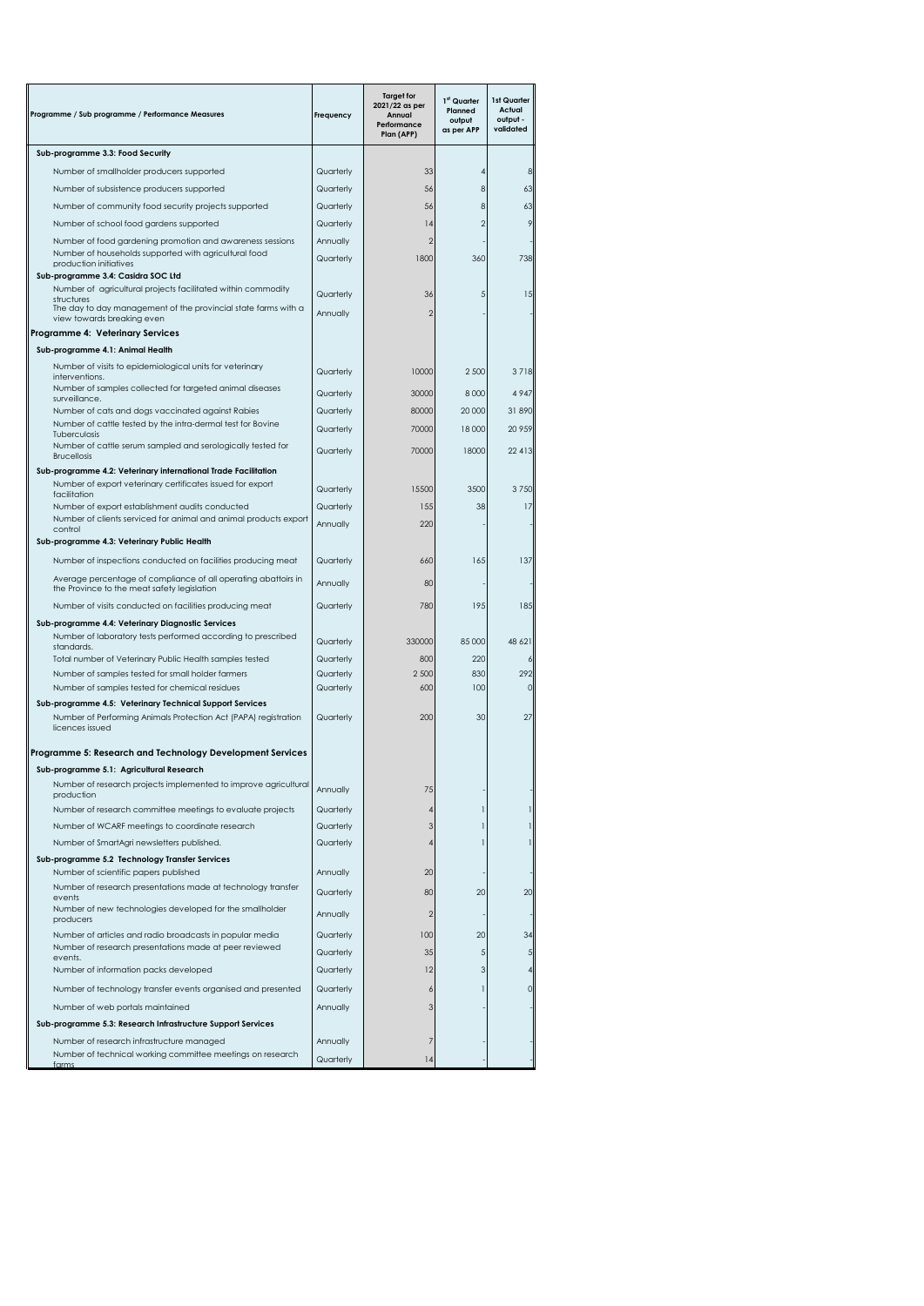| Programme / Sub programme / Performance Measures                                                                                                                           | Frequency             | <b>Target for</b><br>2021/22 as per<br>Annual<br>Performance<br>Plan (APP) | 1 <sup>st</sup> Quarter<br>Planned<br>output<br>as per APP | 1st Quarter<br>Actual<br>output -<br>validated |
|----------------------------------------------------------------------------------------------------------------------------------------------------------------------------|-----------------------|----------------------------------------------------------------------------|------------------------------------------------------------|------------------------------------------------|
| Sub-programme 3.3: Food Security                                                                                                                                           |                       |                                                                            |                                                            |                                                |
| Number of smallholder producers supported                                                                                                                                  | Quarterly             | 33                                                                         |                                                            | 8                                              |
| Number of subsistence producers supported                                                                                                                                  | Quarterly             | 56                                                                         | 8                                                          | 63                                             |
| Number of community food security projects supported                                                                                                                       | Quarterly             | 56                                                                         | 8                                                          | 63                                             |
| Number of school food gardens supported                                                                                                                                    | Quarterly             | 4                                                                          | $\overline{2}$                                             | 9                                              |
| Number of food gardening promotion and awareness sessions                                                                                                                  | Annually              | $\overline{2}$                                                             |                                                            |                                                |
| Number of households supported with agricultural food<br>production initiatives                                                                                            | Quarterly             | 1800                                                                       | 360                                                        | 738                                            |
| Sub-programme 3.4: Casidra SOC Ltd                                                                                                                                         |                       |                                                                            |                                                            |                                                |
| Number of agricultural projects facilitated within commodity<br>structures<br>The day to day management of the provincial state farms with a<br>view towards breaking even | Quarterly<br>Annually | 36<br>$\overline{2}$                                                       | 5                                                          | 15                                             |
| Programme 4: Veterinary Services                                                                                                                                           |                       |                                                                            |                                                            |                                                |
| Sub-programme 4.1: Animal Health                                                                                                                                           |                       |                                                                            |                                                            |                                                |
| Number of visits to epidemiological units for veterinary                                                                                                                   |                       |                                                                            |                                                            |                                                |
| interventions.                                                                                                                                                             | Quarterly             | 10000                                                                      | 2 500                                                      | 3718                                           |
| Number of samples collected for targeted animal diseases<br>surveillance.                                                                                                  | Quarterly             | 30000                                                                      | 8 0 0 0                                                    | 4947                                           |
| Number of cats and dogs vaccinated against Rabies                                                                                                                          | Quarterly             | 80000                                                                      | 20 000                                                     | 31890                                          |
| Number of cattle tested by the intra-dermal test for Bovine                                                                                                                | Quarterly             | 70000                                                                      | 18 000                                                     | 20 959                                         |
| Tuberculosis<br>Number of cattle serum sampled and serologically tested for<br><b>Brucellosis</b>                                                                          | Quarterly             | 70000                                                                      | 18000                                                      | 22 413                                         |
| Sub-programme 4.2: Veterinary international Trade Facilitation                                                                                                             |                       |                                                                            |                                                            |                                                |
| Number of export veterinary certificates issued for export<br>facilitation                                                                                                 | Quarterly             | 15500                                                                      | 3500                                                       | 3750                                           |
| Number of export establishment audits conducted                                                                                                                            | Quarterly             | 155                                                                        | 38                                                         | 17                                             |
| Number of clients serviced for animal and animal products export                                                                                                           | Annually              | 220                                                                        |                                                            |                                                |
| control<br>Sub-programme 4.3: Veterinary Public Health                                                                                                                     |                       |                                                                            |                                                            |                                                |
| Number of inspections conducted on facilities producing meat                                                                                                               | Quarterly             | 660                                                                        | 165                                                        | 137                                            |
|                                                                                                                                                                            |                       |                                                                            |                                                            |                                                |
| Average percentage of compliance of all operating abattoirs in<br>the Province to the meat safety legislation                                                              | Annually              | 80                                                                         |                                                            |                                                |
| Number of visits conducted on facilities producing meat                                                                                                                    | Quarterly             | 780                                                                        | 195                                                        | 185                                            |
| Sub-programme 4.4: Veterinary Diagnostic Services                                                                                                                          |                       |                                                                            |                                                            |                                                |
| Number of laboratory tests performed according to prescribed<br>standards.                                                                                                 | Quarterly             | 330000                                                                     | 85 000                                                     | 48 621                                         |
| Total number of Veterinary Public Health samples tested                                                                                                                    | Quarterly             | 800                                                                        | 220                                                        | 6                                              |
| Number of samples tested for small holder farmers                                                                                                                          | Quarterly             | 2 500                                                                      | 830                                                        | 292                                            |
| Number of samples tested for chemical residues                                                                                                                             | Quarterly             | 600                                                                        | 100                                                        | $\circ$                                        |
| Sub-programme 4.5: Veterinary Technical Support Services<br>Number of Performing Animals Protection Act (PAPA) registration<br>licences issued                             | Quarterly             | 200                                                                        | 30                                                         | 27                                             |
|                                                                                                                                                                            |                       |                                                                            |                                                            |                                                |
| Programme 5: Research and Technology Development Services                                                                                                                  |                       |                                                                            |                                                            |                                                |
| Sub-programme 5.1: Agricultural Research                                                                                                                                   |                       |                                                                            |                                                            |                                                |
| Number of research projects implemented to improve agricultural<br>production                                                                                              | Annually              | 75                                                                         |                                                            |                                                |
| Number of research committee meetings to evaluate projects                                                                                                                 | Quarterly             | 4                                                                          |                                                            |                                                |
| Number of WCARF meetings to coordinate research                                                                                                                            | Quarterly             | 3                                                                          |                                                            |                                                |
| Number of SmartAgri newsletters published.                                                                                                                                 | Quarterly             | 4                                                                          |                                                            |                                                |
| Sub-programme 5.2 Technology Transfer Services                                                                                                                             |                       |                                                                            |                                                            |                                                |
| Number of scientific papers published                                                                                                                                      | Annually              | 20                                                                         |                                                            |                                                |
| Number of research presentations made at technology transfer                                                                                                               | Quarterly             | 80                                                                         | 20                                                         | 20                                             |
| events<br>Number of new technologies developed for the smallholder<br>producers                                                                                            | Annually              | $\overline{2}$                                                             |                                                            |                                                |
| Number of articles and radio broadcasts in popular media                                                                                                                   | Quarterly             | 100                                                                        | 20                                                         | 34                                             |
| Number of research presentations made at peer reviewed                                                                                                                     | Quarterly             | 35                                                                         | 5                                                          | 5                                              |
| events.<br>Number of information packs developed                                                                                                                           | Quarterly             | 12                                                                         | 3                                                          | 4                                              |
|                                                                                                                                                                            |                       |                                                                            |                                                            |                                                |
| Number of technology transfer events organised and presented                                                                                                               | Quarterly             | 6                                                                          |                                                            | $\circ$                                        |
| Number of web portals maintained                                                                                                                                           | Annually              | 3                                                                          |                                                            |                                                |
| Sub-programme 5.3: Research Infrastructure Support Services                                                                                                                |                       |                                                                            |                                                            |                                                |
| Number of research infrastructure managed                                                                                                                                  | Annually              |                                                                            |                                                            |                                                |
| Number of technical working committee meetings on research<br>farms                                                                                                        | Quarterly             | 4                                                                          |                                                            |                                                |